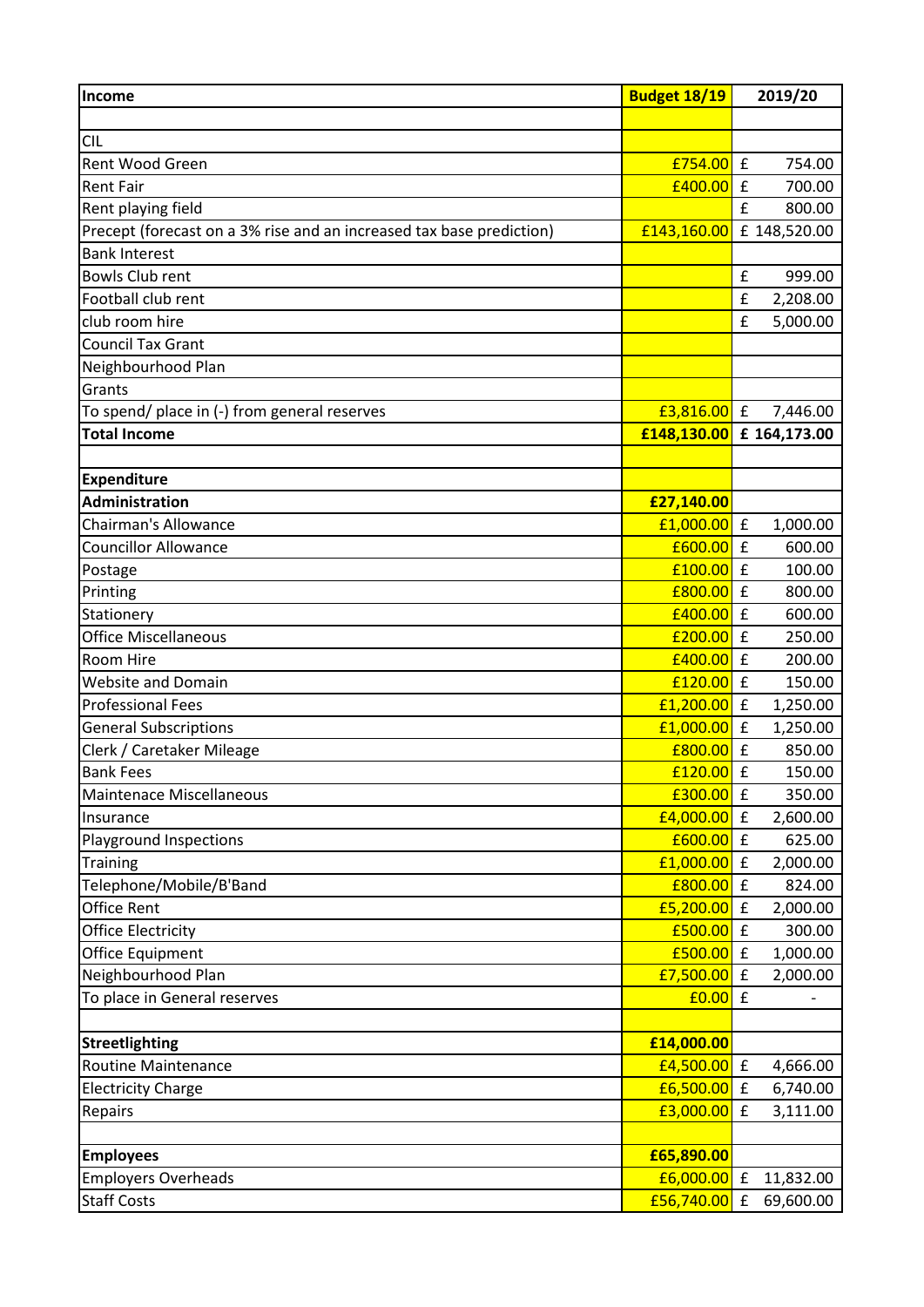| Income                                                               | <b>Budget 18/19</b> | 2019/20                                                     |
|----------------------------------------------------------------------|---------------------|-------------------------------------------------------------|
|                                                                      |                     |                                                             |
| <b>CIL</b>                                                           |                     |                                                             |
| <b>Rent Wood Green</b>                                               | £754.00             | $\mathbf f$<br>754.00                                       |
| <b>Rent Fair</b>                                                     | £400.00             | $\mathbf f$<br>700.00                                       |
| Rent playing field                                                   |                     | $\mathbf{f}$<br>800.00                                      |
| Precept (forecast on a 3% rise and an increased tax base prediction) | £143,160.00         | £ 148,520.00                                                |
| <b>Bank Interest</b>                                                 |                     |                                                             |
| <b>Bowls Club rent</b>                                               |                     | £<br>999.00                                                 |
| Football club rent                                                   |                     | £<br>2,208.00                                               |
| club room hire                                                       |                     | $\pmb{\mathsf{f}}$<br>5,000.00                              |
| <b>Council Tax Grant</b>                                             |                     |                                                             |
| Neighbourhood Plan                                                   |                     |                                                             |
| Grants                                                               |                     |                                                             |
| To spend/ place in (-) from general reserves                         | $E3,816.00$ £       | 7,446.00                                                    |
| <b>Total Income</b>                                                  |                     | $\left  \frac{148,130.00}{164,173.00} \right $ £ 164,173.00 |
|                                                                      |                     |                                                             |
| <b>Expenditure</b>                                                   |                     |                                                             |
| <b>Administration</b>                                                | £27,140.00          |                                                             |
| <b>Chairman's Allowance</b>                                          | £1,000.00           | $\mathbf f$<br>1,000.00                                     |
| <b>Councillor Allowance</b>                                          | £600.00             | £<br>600.00                                                 |
| Postage                                                              | £100.00             | £<br>100.00                                                 |
| Printing                                                             | £800.00             | $\mathbf f$<br>800.00                                       |
| Stationery                                                           | £400.00             | £<br>600.00                                                 |
| <b>Office Miscellaneous</b>                                          | £200.00             | $\mathbf f$<br>250.00                                       |
| Room Hire                                                            | £400.00             | $\mathbf f$<br>200.00                                       |
| <b>Website and Domain</b>                                            | £120.00             | £<br>150.00                                                 |
| <b>Professional Fees</b>                                             | £1,200.00           | £<br>1,250.00                                               |
| <b>General Subscriptions</b>                                         | £1,000.00           | £<br>1,250.00                                               |
| Clerk / Caretaker Mileage                                            | £800.00             | $\mathbf f$<br>850.00                                       |
| <b>Bank Fees</b>                                                     | $f120.00$ £         | 150.00                                                      |
| Maintenace Miscellaneous                                             | £300.00             | $\mathbf f$<br>350.00                                       |
| Insurance                                                            | £4,000.00           | $\mathbf f$<br>2,600.00                                     |
| <b>Playground Inspections</b>                                        | £600.00             | £<br>625.00                                                 |
| Training                                                             | £1,000.00           | £<br>2,000.00                                               |
| Telephone/Mobile/B'Band                                              | £800.00             | $\mathbf f$<br>824.00                                       |
| <b>Office Rent</b>                                                   | £5,200.00           | $\mathbf f$<br>2,000.00                                     |
| <b>Office Electricity</b>                                            | £500.00             | $\mathbf f$<br>300.00                                       |
| Office Equipment                                                     | £500.00             | $\mathbf f$<br>1,000.00                                     |
| Neighbourhood Plan                                                   | £7,500.00           | $\pmb{\mathsf{f}}$<br>2,000.00                              |
| To place in General reserves                                         | £0.00               | $\mathbf f$                                                 |
|                                                                      |                     |                                                             |
| <b>Streetlighting</b>                                                | £14,000.00          |                                                             |
| <b>Routine Maintenance</b>                                           | £4,500.00           | $\mathbf f$<br>4,666.00                                     |
| <b>Electricity Charge</b>                                            | £6,500.00           | $\mathbf f$<br>6,740.00                                     |
| Repairs                                                              | £3,000.00           | $\mathbf f$<br>3,111.00                                     |
|                                                                      |                     |                                                             |
| <b>Employees</b>                                                     | £65,890.00          |                                                             |
| <b>Employers Overheads</b>                                           | £6,000.00           | $\mathbf f$<br>11,832.00                                    |
| <b>Staff Costs</b>                                                   | £56,740.00          | 69,600.00<br>$\mathbf f$                                    |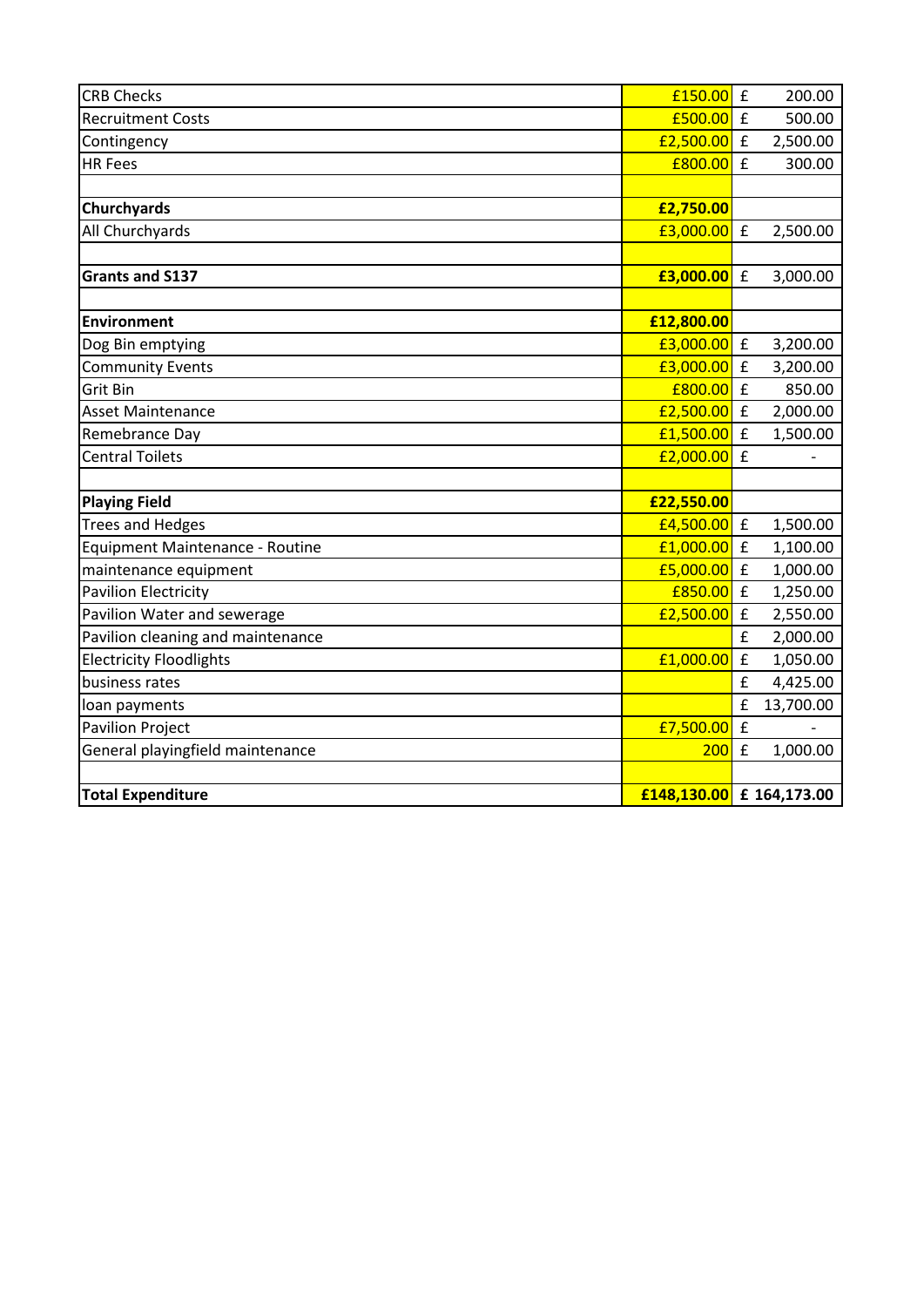| <b>CRB Checks</b>                 | £150.00                                                     | $\pmb{\mathsf{f}}$ | 200.00    |
|-----------------------------------|-------------------------------------------------------------|--------------------|-----------|
| <b>Recruitment Costs</b>          | £500.00                                                     | $\mathbf f$        | 500.00    |
| Contingency                       | £2,500.00                                                   | $\mathbf f$        | 2,500.00  |
| <b>HR Fees</b>                    | £800.00                                                     | £                  | 300.00    |
|                                   |                                                             |                    |           |
| Churchyards                       | £2,750.00                                                   |                    |           |
| All Churchyards                   | £3,000.00                                                   | $\pmb{\mathsf{f}}$ | 2,500.00  |
|                                   |                                                             |                    |           |
| <b>Grants and S137</b>            | £3,000.00                                                   | $\mathbf f$        | 3,000.00  |
|                                   |                                                             |                    |           |
| <b>Environment</b>                | £12,800.00                                                  |                    |           |
| Dog Bin emptying                  | £3,000.00                                                   | $\mathbf f$        | 3,200.00  |
| <b>Community Events</b>           | £3,000.00                                                   | £                  | 3,200.00  |
| Grit Bin                          | £800.00                                                     | $\mathbf f$        | 850.00    |
| <b>Asset Maintenance</b>          | £2,500.00                                                   | $\mathbf f$        | 2,000.00  |
| Remebrance Day                    | £1,500.00                                                   | £                  | 1,500.00  |
| <b>Central Toilets</b>            | £2,000.00                                                   | $\mathbf f$        |           |
|                                   |                                                             |                    |           |
| <b>Playing Field</b>              | £22,550.00                                                  |                    |           |
| <b>Trees and Hedges</b>           | £4,500.00                                                   | $\pmb{\mathsf{f}}$ | 1,500.00  |
| Equipment Maintenance - Routine   | £1,000.00                                                   | £                  | 1,100.00  |
| maintenance equipment             | £5,000.00                                                   | £                  | 1,000.00  |
| <b>Pavilion Electricity</b>       | £850.00                                                     | $\mathbf f$        | 1,250.00  |
| Pavilion Water and sewerage       | £2,500.00                                                   | $\pmb{\mathsf{f}}$ | 2,550.00  |
| Pavilion cleaning and maintenance |                                                             | £                  | 2,000.00  |
| <b>Electricity Floodlights</b>    | £1,000.00                                                   | £                  | 1,050.00  |
| business rates                    |                                                             | £                  | 4,425.00  |
| loan payments                     |                                                             | £                  | 13,700.00 |
| <b>Pavilion Project</b>           | £7,500.00                                                   | $\mathbf f$        |           |
| General playingfield maintenance  | 200                                                         | £                  | 1,000.00  |
|                                   |                                                             |                    |           |
| <b>Total Expenditure</b>          | $\left  \frac{148,130.00}{164,173.00} \right $ £ 164,173.00 |                    |           |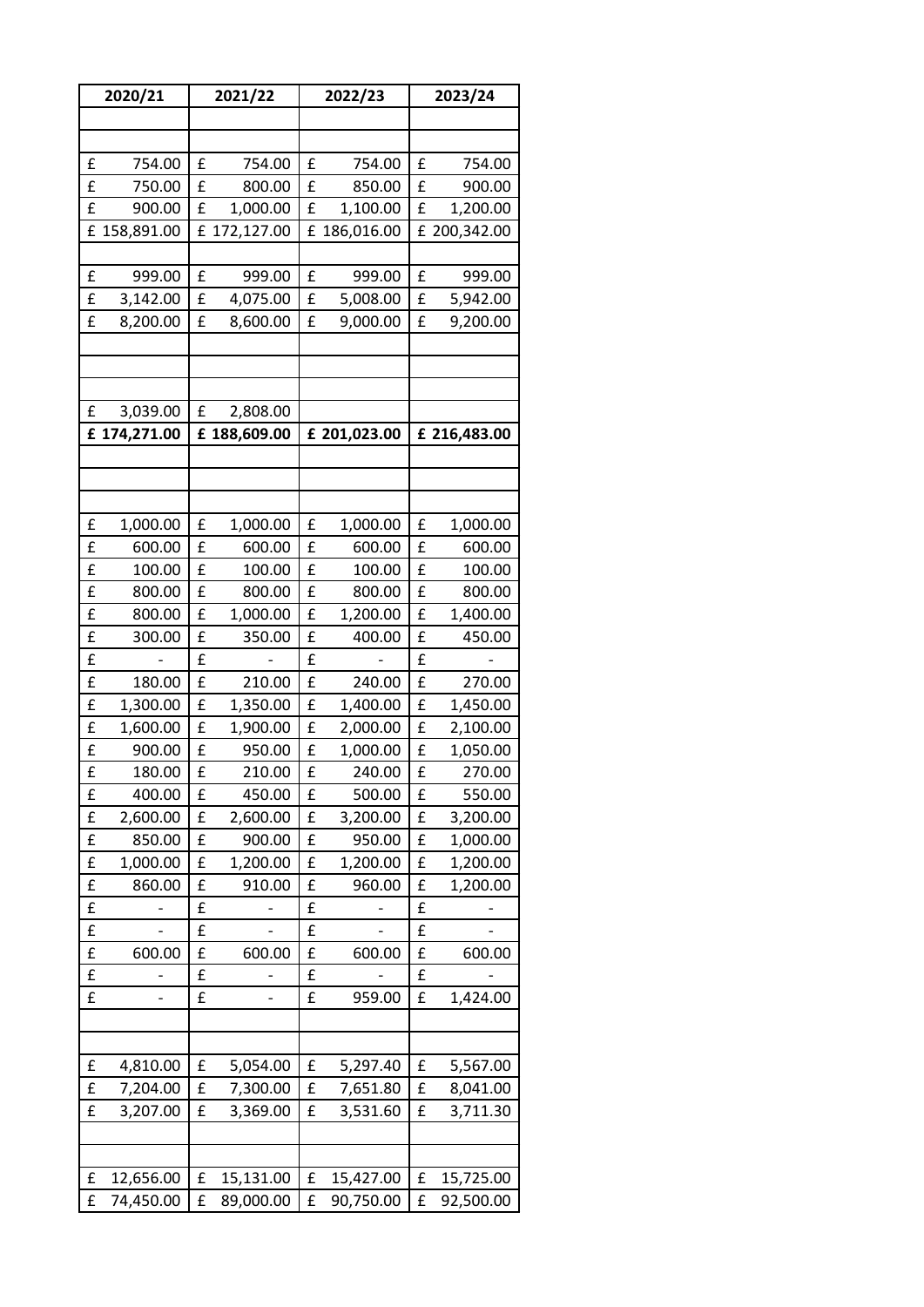|   | 2020/21      |   | 2021/22      |   | 2022/23      |   | 2023/24      |  |
|---|--------------|---|--------------|---|--------------|---|--------------|--|
|   |              |   |              |   |              |   |              |  |
|   |              |   |              |   |              |   |              |  |
| £ | 754.00       | £ | 754.00       | £ | 754.00       | £ | 754.00       |  |
| £ | 750.00       | £ | 800.00       | £ | 850.00       | £ | 900.00       |  |
| £ | 900.00       | £ | 1,000.00     | £ | 1,100.00     | £ | 1,200.00     |  |
| £ | 158,891.00   |   | £ 172,127.00 | £ | 186,016.00   |   | £ 200,342.00 |  |
|   |              |   |              |   |              |   |              |  |
| £ | 999.00       | £ | 999.00       | £ | 999.00       | £ | 999.00       |  |
| £ | 3,142.00     | £ | 4,075.00     | £ | 5,008.00     | £ | 5,942.00     |  |
| £ | 8,200.00     | £ | 8,600.00     | £ | 9,000.00     | £ | 9,200.00     |  |
|   |              |   |              |   |              |   |              |  |
|   |              |   |              |   |              |   |              |  |
|   |              |   |              |   |              |   |              |  |
| £ | 3,039.00     | £ | 2,808.00     |   |              |   |              |  |
|   | £ 174,271.00 |   | £ 188,609.00 |   | £ 201,023.00 |   | £ 216,483.00 |  |
|   |              |   |              |   |              |   |              |  |
|   |              |   |              |   |              |   |              |  |
|   |              |   |              |   |              |   |              |  |
| £ | 1,000.00     | £ | 1,000.00     | £ | 1,000.00     | £ | 1,000.00     |  |
| £ | 600.00       | £ | 600.00       | £ | 600.00       | £ | 600.00       |  |
| £ | 100.00       | £ | 100.00       | £ | 100.00       | £ | 100.00       |  |
| £ | 800.00       | £ | 800.00       | £ | 800.00       | £ | 800.00       |  |
| £ | 800.00       | £ | 1,000.00     | £ | 1,200.00     | £ | 1,400.00     |  |
| £ | 300.00       | £ | 350.00       | £ | 400.00       | £ | 450.00       |  |
| £ |              | £ |              | £ |              | £ |              |  |
| £ | 180.00       | £ | 210.00       | £ | 240.00       | £ | 270.00       |  |
| £ | 1,300.00     | £ | 1,350.00     | £ | 1,400.00     | £ | 1,450.00     |  |
| £ | 1,600.00     | £ | 1,900.00     | £ | 2,000.00     | £ | 2,100.00     |  |
| £ | 900.00       | £ | 950.00       | £ | 1,000.00     | £ | 1,050.00     |  |
| £ | 180.00       | £ | 210.00       | £ | 240.00       | £ | 270.00       |  |
| £ | 400.00       | £ | 450.00       | £ | 500.00       | £ | 550.00       |  |
| £ | 2,600.00     | £ | 2,600.00     | £ | 3,200.00     | £ | 3,200.00     |  |
| £ | 850.00       | £ | 900.00       | £ | 950.00       | £ | 1,000.00     |  |
| £ | 1,000.00     | £ | 1,200.00     | £ | 1,200.00     | £ | 1,200.00     |  |
| £ | 860.00       | £ | 910.00       | £ | 960.00       | £ | 1,200.00     |  |
| £ |              | £ |              | £ |              | £ |              |  |
| £ |              | £ |              | £ |              | £ |              |  |
| £ | 600.00       | £ | 600.00       | £ | 600.00       | £ | 600.00       |  |
| £ |              | £ |              | £ |              | £ |              |  |
| £ |              | £ |              | £ | 959.00       | £ | 1,424.00     |  |
|   |              |   |              |   |              |   |              |  |
|   |              |   |              |   |              |   |              |  |
| £ | 4,810.00     | £ | 5,054.00     | £ | 5,297.40     | £ | 5,567.00     |  |
| £ | 7,204.00     | £ | 7,300.00     | £ | 7,651.80     | £ | 8,041.00     |  |
| £ | 3,207.00     | £ | 3,369.00     | £ | 3,531.60     | £ | 3,711.30     |  |
|   |              |   |              |   |              |   |              |  |
|   |              |   |              |   |              |   |              |  |
| £ | 12,656.00    | £ | 15,131.00    | £ | 15,427.00    | £ | 15,725.00    |  |
| £ | 74,450.00    | £ | 89,000.00    | £ | 90,750.00    | £ | 92,500.00    |  |